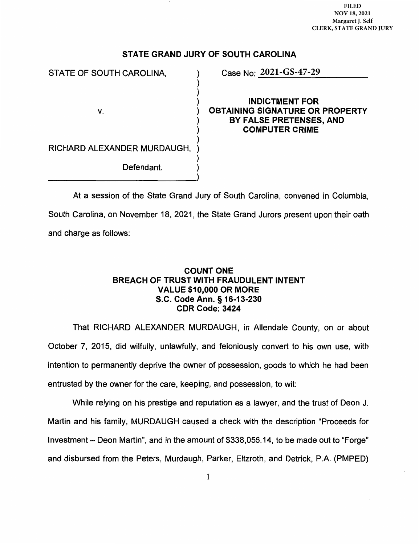**FILED**  FILED **NOV 18, 2021**  NOV 18, 2021 **Margaret J. Self**  Margaret J. Self **CLERK, STATE GRAND JURY** CLERK, STATE GRAND JURY

# STATE GRAND JURY OF SOUTH CAROLINA

 $\mathcal{V}$ 

)

)

STATE OF SOUTH CAROLINA,

v.

**2021-GS-47-29**

) ) INDICTMENT FOR ) OBTAINING SIGNATURE OR PROPERTY ) BY FALSE PRETENSES, AND COMPUTER CRIME  $\mathcal{L}$ 

RICHARD ALEXANDER MURDAUGH, )

Defendant.

At a session of the State Grand Jury of South Carolina, convened in Columbia, South Carolina, on November 18, 2021, the State Grand Jurors present upon their oath and charge as follows:

## COUNT ONE BREACH OF TRUST WITH FRAUDULENT INTENT VALUE \$10,000 OR MORE S.C. Code Ann. § 16-13-230 CDR Code: 3424

That RICHARD ALEXANDER MURDAUGH, in Allendale County, on or about October 7, 2015, did wilfully, unlawfully, and feloniously convert to his own use, with intention to permanently deprive the owner of possession, goods to which he had been entrusted by the owner for the care, keeping, and possession, to wit:

While relying on his prestige and reputation as a lawyer, and the trust of Deon J. Martin and his family, MURDAUGH caused a check with the description "Proceeds for Investment - Deon Martin", and in the amount of \$338,056.14, to be made out to "Forge" and disbursed from the Peters, Murdaugh, Parker, Eltzroth, and Detrick, P.A. (PMPED)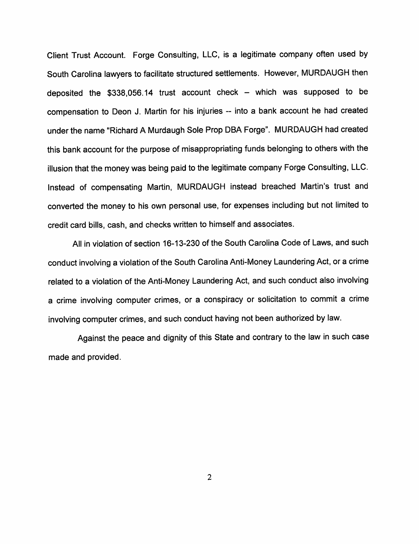Client Trust Account. Forge Consulting, LLC, is <sup>a</sup> legitimate company often used by South Carolina lawyers to facilitate structured settlements. However, MURDAUGH then deposited the  $$338,056.14$  trust account check - which was supposed to be compensation to Deon J. Martin for his injuries -- into a bank account he had created under the name "Richard <sup>A</sup> Murdaugh Sole Prop DBA Forge". MURDAUGH had created this bank account for the purpose of misappropriating funds belonging to others with the illusion that the money was being paid to the legitimate company Forge Consulting, LLC. Instead of compensating Martin, MURDAUGH instead breached Martin's trust and converted the money to his own personal use, for expenses including but not limited to credit card bills, cash, and checks written to himself and associates.

All in violation of section 16-13-230 of the South Carolina Code of Laws, and such conduct involving <sup>a</sup> violation of the South Carolina Anti-Money Laundering Act, or <sup>a</sup> crime related to <sup>a</sup> violation of the Anti-Money Laundering Act, and such conduct also involving <sup>a</sup> crime involving computer crimes, or <sup>a</sup> conspiracy or solicitation to commit <sup>a</sup> crime involving computer crimes, and such conduct having not been authorized by law.

Against the peace and dignity of this State and contrary to the law in such case made and provided.

2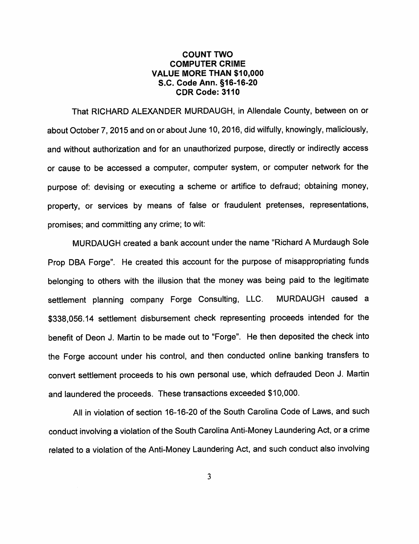#### COUNT TWO COMPUTER CRIME VALUE MORE THAN \$10,000 S.C. Code Ann. §16-16-20 CDR Code: 3110

That RICHARD ALEXANDER MURDAUGH, in Allendale County, between on or about October 7, 2015 and on or about June 10, 2016, did wilfully, knowingly, maliciously, and without authorization and for an unauthorized purpose, directly or indirectly access or cause to be accessed <sup>a</sup> computer, computer system, or computer network for the purpose of: devising or executing <sup>a</sup> scheme or artifice to defraud; obtaining money, property, or services by means of false or fraudulent pretenses, representations, promises; and committing any crime; to wit:

MURDAUGH created <sup>a</sup> bank account under the name "Richard A Murdaugh Sole Prop DBA Forge". He created this account for the purpose of misappropriating funds belonging to others with the illusion that the money was being paid to the legitimate settlement planning company Forge Consulting, LLC. MURDAUGH caused <sup>a</sup> \$338,056.14 settlement disbursement check representing proceeds intended for the benefit of Deon J. Martin to be made out to "Forge". He then deposited the check into the Forge account under his control, and then conducted online banking transfers to convert settlement proceeds to his own personal use, which defrauded Deon J. Martin and laundered the proceeds. These transactions exceeded \$10,000.

All in violation of section 16-16-20 of the South Carolina Code of Laws, and such conduct involving <sup>a</sup> violation of the South Carolina Anti-Money Laundering Act, or <sup>a</sup> crime related to <sup>a</sup> violation of the Anti-Money Laundering Act, and such conduct also involving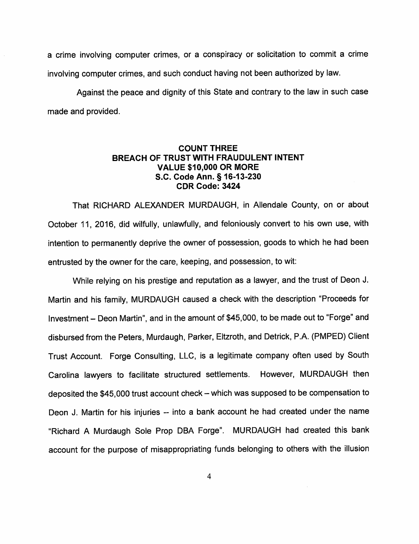<sup>a</sup> crime involving computer crimes, or <sup>a</sup> conspiracy or solicitation to commit <sup>a</sup> crime involving computer crimes, and such conduct having not been authorized by law.

Against the peace and dignity of this State and contrary to the law in such case made and provided.

## COUNT THREE BREACH OF TRUST WITH FRAUDULENT INTENT VALUE \$10,000 OR MORE S.C. Code Ann. §16-13-230 CDR Code: 3424

That RICHARD ALEXANDER MURDAUGH, in Allendale County, on or about October 11, 2016, did wilfully, unlawfully, and feloniously convert to his own use, with intention to permanently deprive the owner of possession, goods to which he had been entrusted by the owner for the care, keeping, and possession, to wit:

While relying on his prestige and reputation as <sup>a</sup> lawyer, and the trust of Deon J. Martin and his family, MURDAUGH caused <sup>a</sup> check with the description "Proceeds for Investment - Deon Martin", and in the amount of \$45,000, to be made out to "Forge" and disbursed from the Peters, Murdaugh, Parker, Eltzroth, and Detrick, P.A. (PMPED) Client Trust Account. Forge Consulting, LLC, is <sup>a</sup> legitimate company often used by South Carolina lawyers to facilitate structured settlements. However, MURDAUGH then deposited the \$45,000 trust account check – which was supposed to be compensation to Deon J. Martin for his injuries -- into a bank account he had created under the name "Richard <sup>A</sup> Murdaugh Sole Prop DBA Forge". MURDAUGH had created this bank account for the purpose of misappropriating funds belonging to others with the illusion

4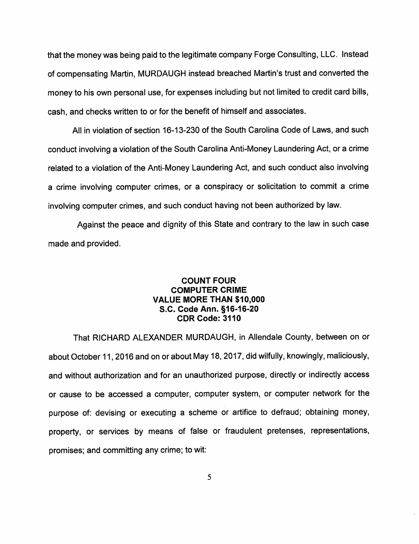that the money was being paid to the legitimate company Forge Consulting, LLC. Instead of compensating Martin, MURDAUGH instead breached Martin's trust and converted the money to his own personal use, for expenses including but not limited to credit card bills, cash, and checks written to or for the benefit of himself and associates.

All in violation of section 16-13-230 of the South Carolina Code of Laws, and such conduct involving <sup>a</sup> violation of the South Carolina Anti-Money Laundering Act, or <sup>a</sup> crime related to <sup>a</sup> violation of the Anti-Money Laundering Act, and such conduct also involving <sup>a</sup> crime involving computer crimes, or <sup>a</sup> conspiracy or solicitation to commit <sup>a</sup> crime involving computer crimes, and such conduct having not been authorized by law.

Against the peace and dignity of this State and contrary to the law in such case made and provided.

## COUNT FOUR COMPUTER CRIME VALUE MORE THAN \$10,000 S.C. Code Ann. §16-16-20 CDR Code: 3110

That RICHARD ALEXANDER MURDAUGH, in Allendale County, between on or about October 11, 2016 and on or about May 18, 2017, did wilfully, knowingly, maliciously, and without authorization and for an unauthorized purpose, directly or indirectly access or cause to be accessed <sup>a</sup> computer, computer system, or computer network for the purpose of: devising or executing a scheme or artifice to defraud; obtaining money, property, or services by means of false or fraudulent pretenses, representations, promises; and committing any crime; to wit: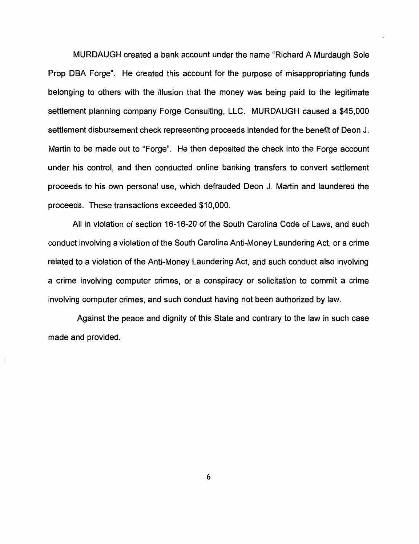MURDAUGH created a bank account under the name "Richard A Murdaugh Sole Prop DBA Forge". He created this account for the purpose of misappropriating funds belonging to others with the illusion that the money was being paid to the legitimate settlement planning company Forge Consulting, LLC. MURDAUGH caused a \$45,000 settlement disbursement check representing proceeds intended for the benefit of Deon J. Martin to be made out to "Forge". He then deposited the check into the Forge account under his control, and then conducted online banking transfers to convert settlement proceeds to his own personal use, which defrauded Deon J. Martin and laundered the proceeds. These transactions exceeded \$10,000.

All in violation of section 16-16-20 of the South Carolina Code of Laws, and such conduct involving a violation of the South Carolina Anti-Money Laundering Act, or a crime related to a violation of the Anti-Money Laundering Act, and such conduct also involving a crime involving computer crimes, or a conspiracy or solicitation to commit a crime involving computer crimes, and such conduct having not been authorized by law.

Against the peace and dignity of this State and contrary to the law in such case made and provided.

6